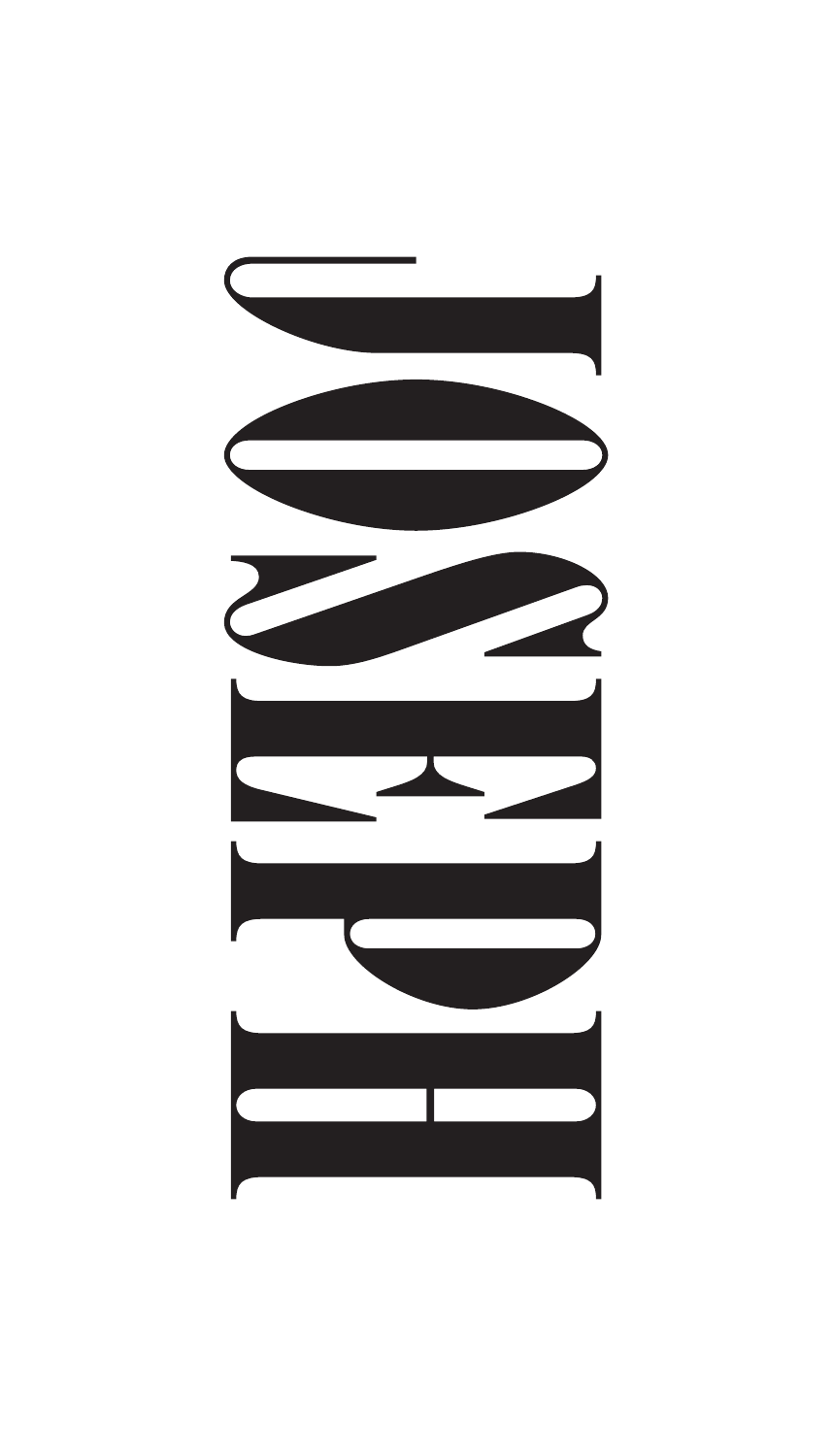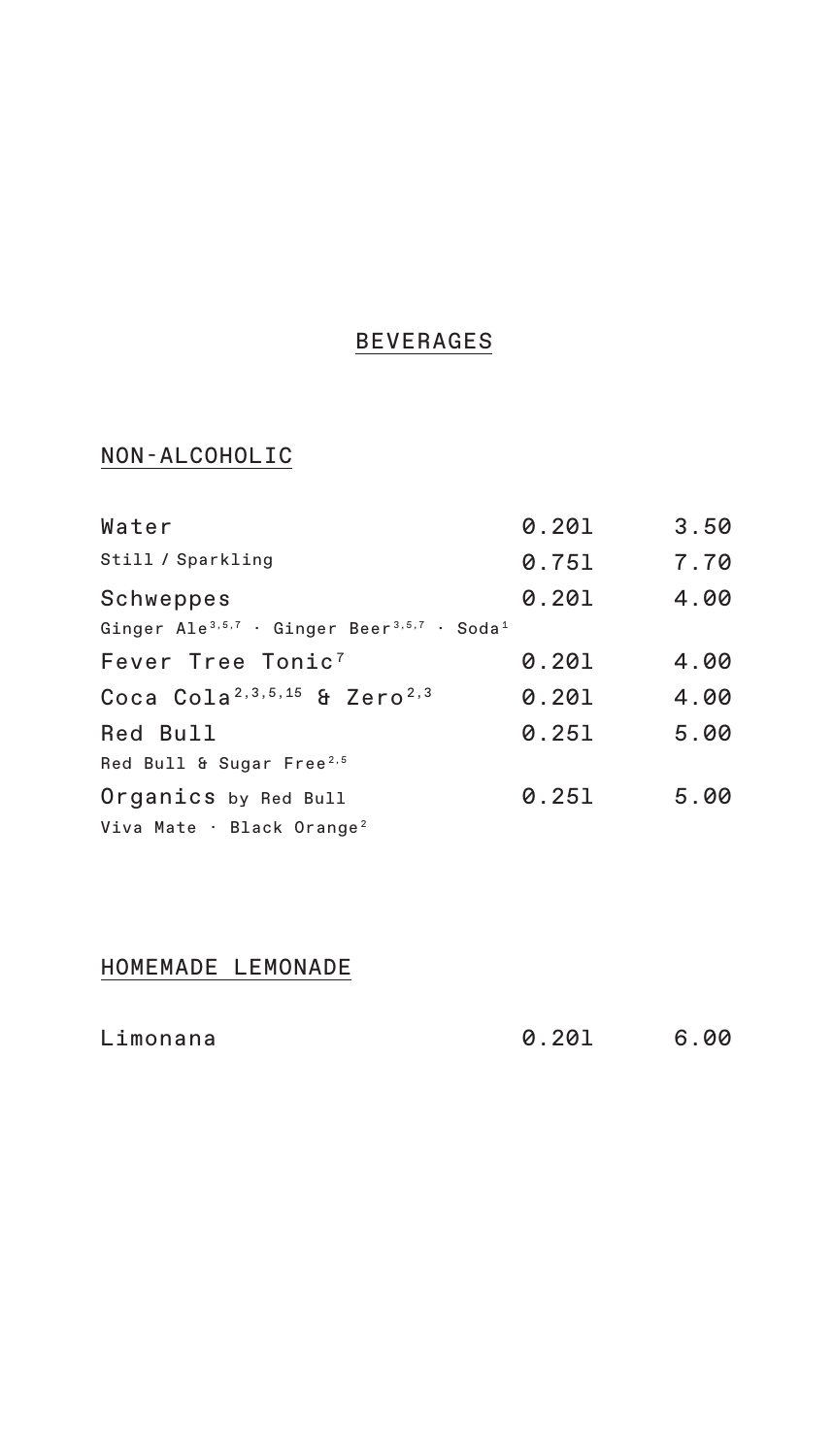#### **BEVERAGES**

#### NON-ALCOHOLIC

| Water                                                                          | 0.201 | 3.50 |
|--------------------------------------------------------------------------------|-------|------|
| Still / Sparkling                                                              | 0.751 | 7.70 |
| Schweppes                                                                      | 0.201 | 4.00 |
| Ginger Ale <sup>3,5,7</sup> · Ginger Beer <sup>3,5,7</sup> · Soda <sup>1</sup> |       |      |
| Fever Tree Tonic <sup>7</sup>                                                  | 0.201 | 4.00 |
| Coca Cola <sup>2, 3, 5, 15</sup> & Zero <sup>2, 3</sup>                        | 0.201 | 4.00 |
| Red Bull                                                                       | 0.251 | 5.00 |
| Red Bull & Sugar Free <sup>2,5</sup>                                           |       |      |
| Organics by Red Bull                                                           | 0.251 | 5.00 |
| Viva Mate · Black Orange <sup>2</sup>                                          |       |      |

### HOMEMADE LEMONADE

| Limonana | 0.201 | 6.00 |
|----------|-------|------|
|          |       |      |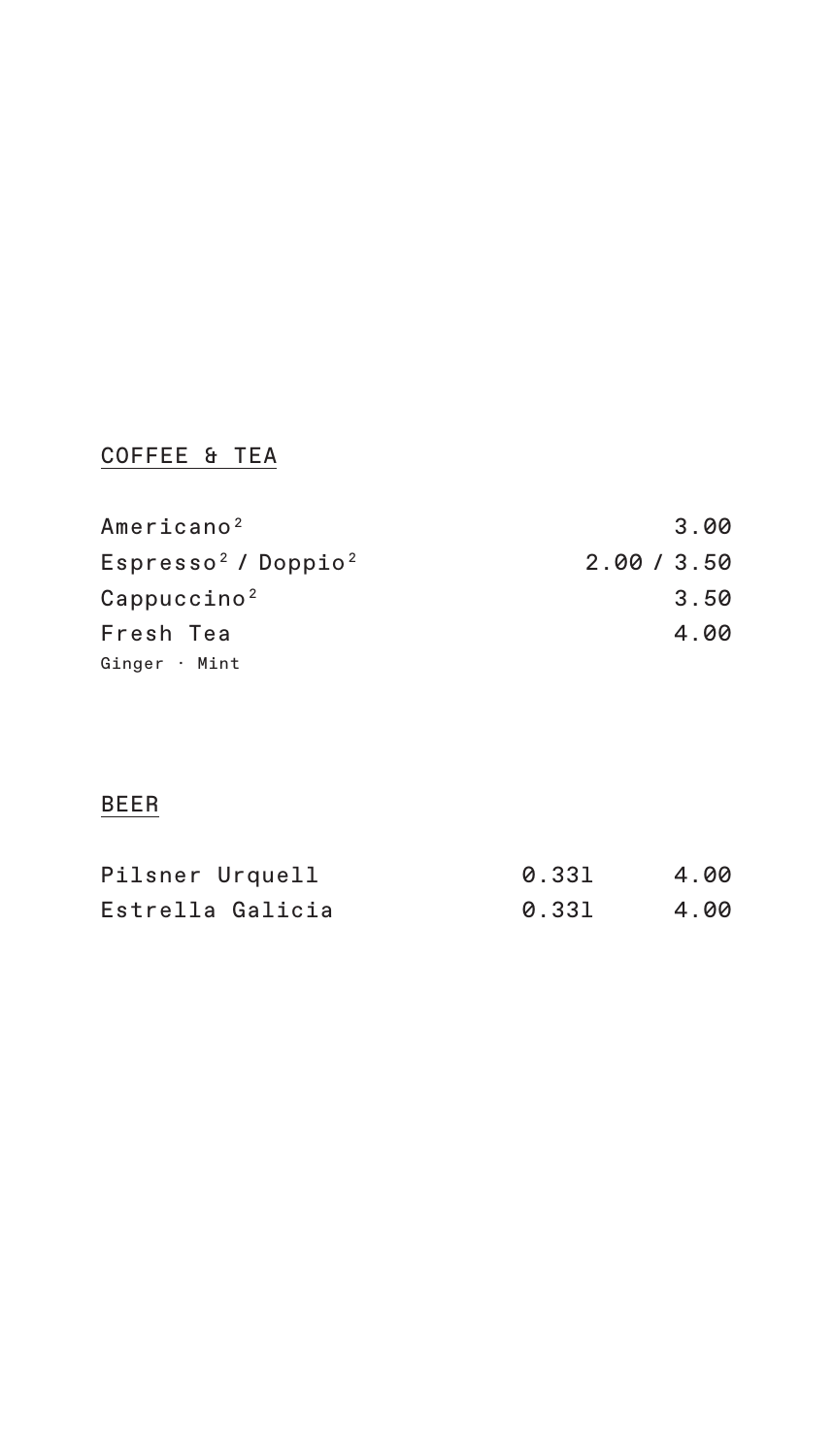# COFFEE & TEA

| Americano <sup>2</sup>            | 3.00      |
|-----------------------------------|-----------|
| $Espresso2$ / Doppio <sup>2</sup> | 2.00/3.50 |
| Cappuccino <sup>2</sup>           | 3.50      |
| Fresh Tea                         | 4.00      |
| Ginger · Mint                     |           |

### BEER

| Pilsner Urquell  | 0.331 | 4.00 |
|------------------|-------|------|
| Estrella Galicia | 0.331 | 4.00 |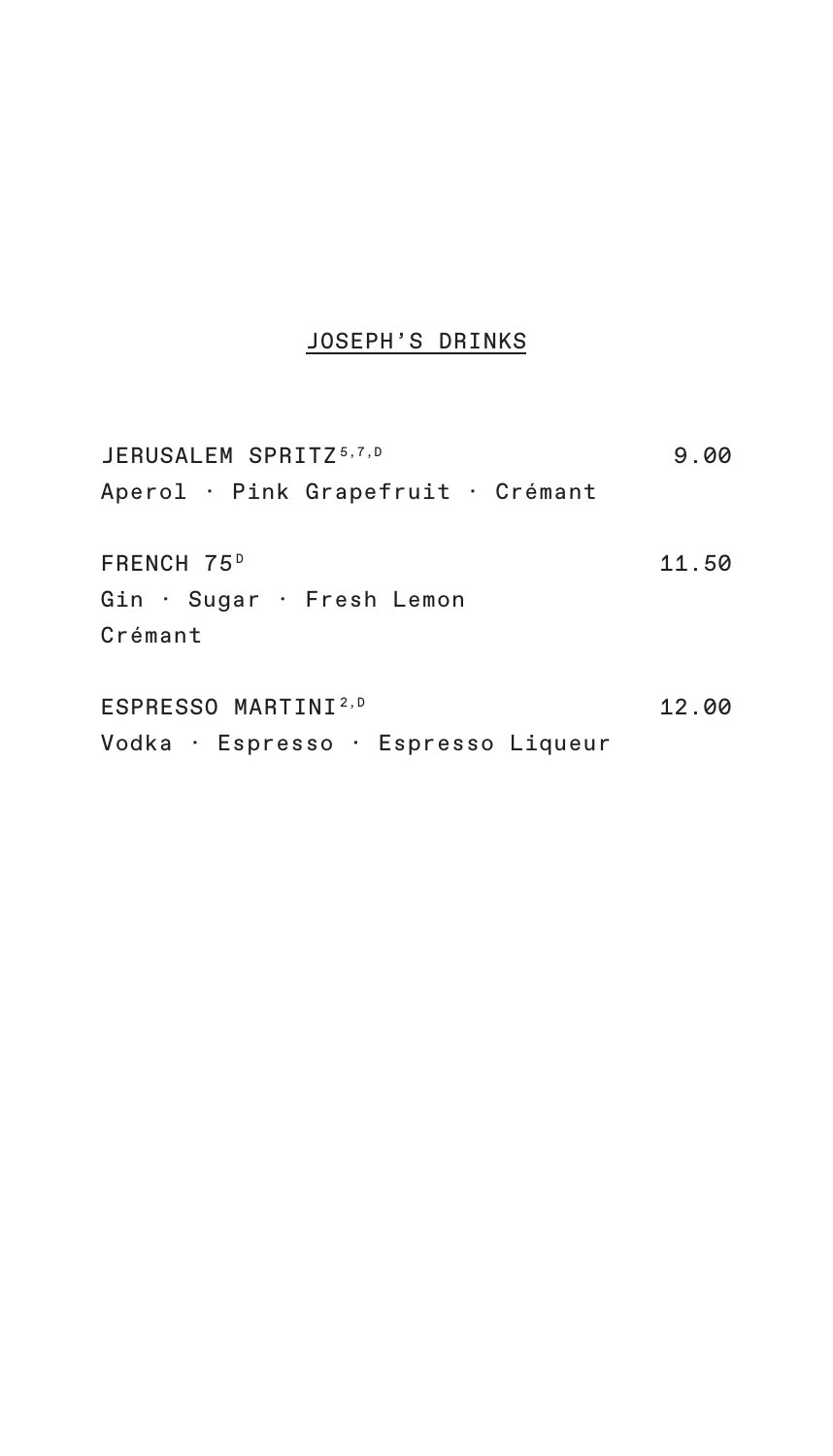# JOSEPH'S DRINKS

| JERUSALEM SPRITZ <sup>5,7,D</sup>    | 9.00  |
|--------------------------------------|-------|
| Aperol · Pink Grapefruit · Crémant   |       |
| FRENCH 75 <sup>D</sup>               | 11.50 |
| Gin · Sugar · Fresh Lemon<br>Crémant |       |
|                                      |       |
| ESPRESSO MARTINI <sup>2,D</sup>      | 12.00 |
|                                      |       |

Vodka · Espresso · Espresso Liqueur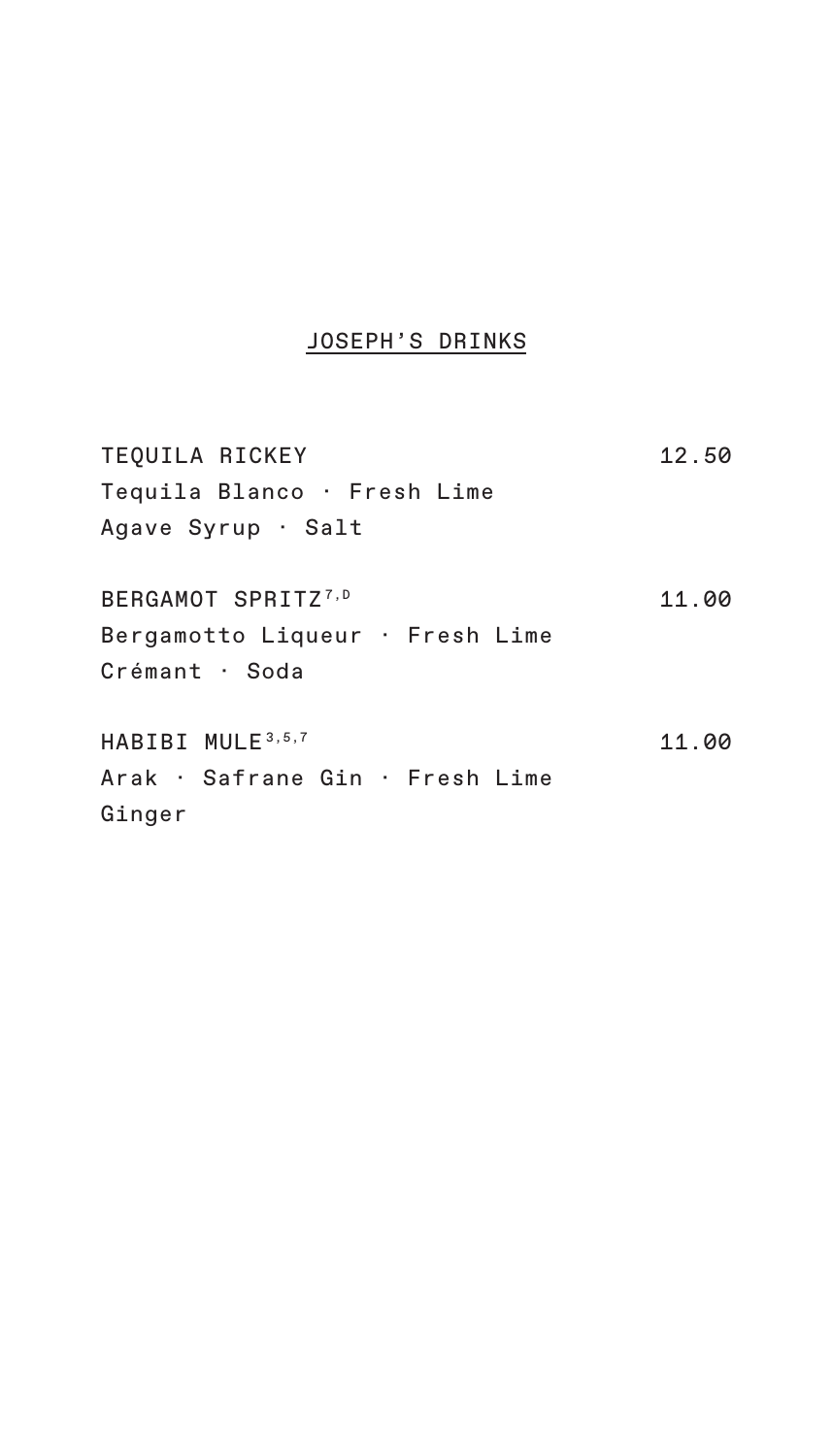### JOSEPH'S DRINKS

| TEQUILA RICKEY                  | 12.50 |
|---------------------------------|-------|
| Tequila Blanco · Fresh Lime     |       |
| Agave Syrup · Salt              |       |
| BERGAMOT SPRITZ <sup>7,D</sup>  | 11.00 |
| Bergamotto Liqueur · Fresh Lime |       |
| Crémant · Soda                  |       |
| HABIBI MULE 3, 5, 7             | 11.00 |
| Arak · Safrane Gin · Fresh Lime |       |
| Ginger                          |       |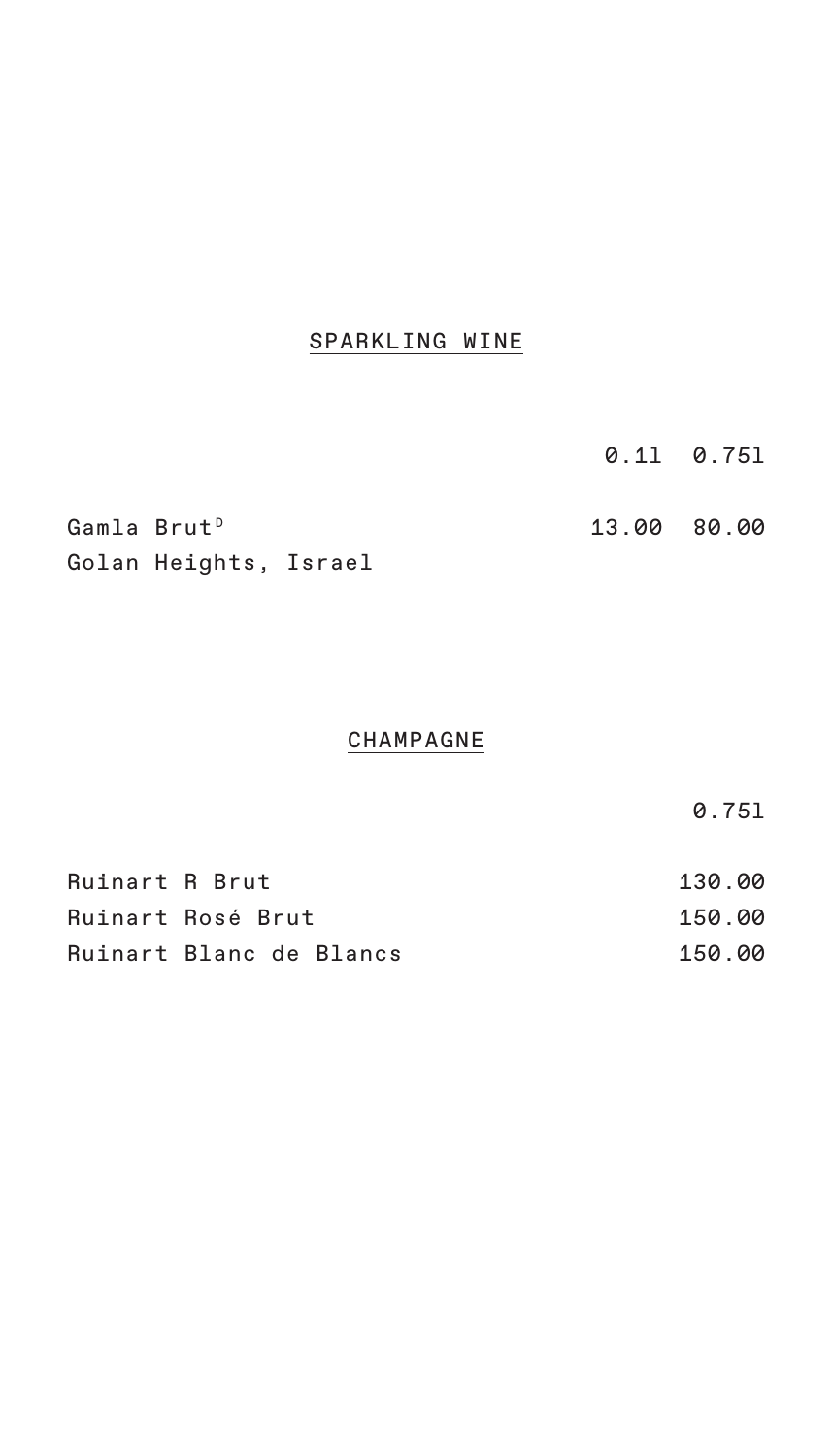### SPARKLING WINE

|                         |                       |  |  |  | $0.11 \quad 0.751$ |  |
|-------------------------|-----------------------|--|--|--|--------------------|--|
| Gamla Brut <sup>D</sup> |                       |  |  |  | 13.00 80.00        |  |
|                         | Golan Heights, Israel |  |  |  |                    |  |

#### **CHAMPAGNE**

0.75l

| Ruinart R Brut |                         | 130.00 |
|----------------|-------------------------|--------|
|                | Ruinart Rosé Brut       | 150.00 |
|                | Ruinart Blanc de Blancs | 150.00 |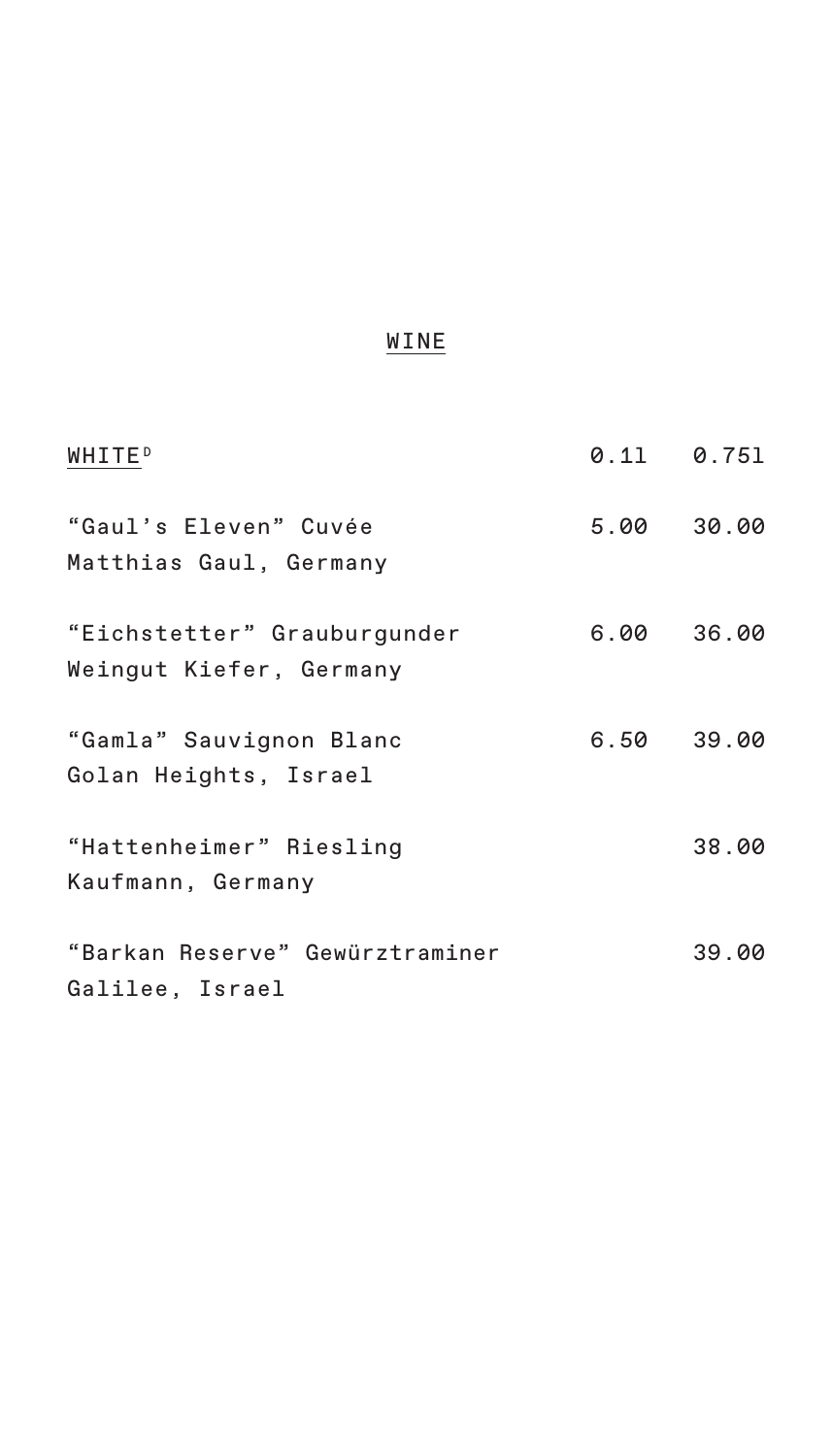| <b>WHITEP</b>                                          | $0.11$ $0.751$ |       |
|--------------------------------------------------------|----------------|-------|
| "Gaul's Eleven" Cuvée<br>Matthias Gaul, Germany        | 5.00 30.00     |       |
| "Eichstetter" Grauburgunder<br>Weingut Kiefer, Germany | 6.00 36.00     |       |
| "Gamla" Sauvignon Blanc<br>Golan Heights, Israel       | 6.50 39.00     |       |
| "Hattenheimer" Riesling<br>Kaufmann, Germany           |                | 38.00 |
| "Barkan Reserve" Gewürztraminer<br>Galilee, Israel     |                | 39.00 |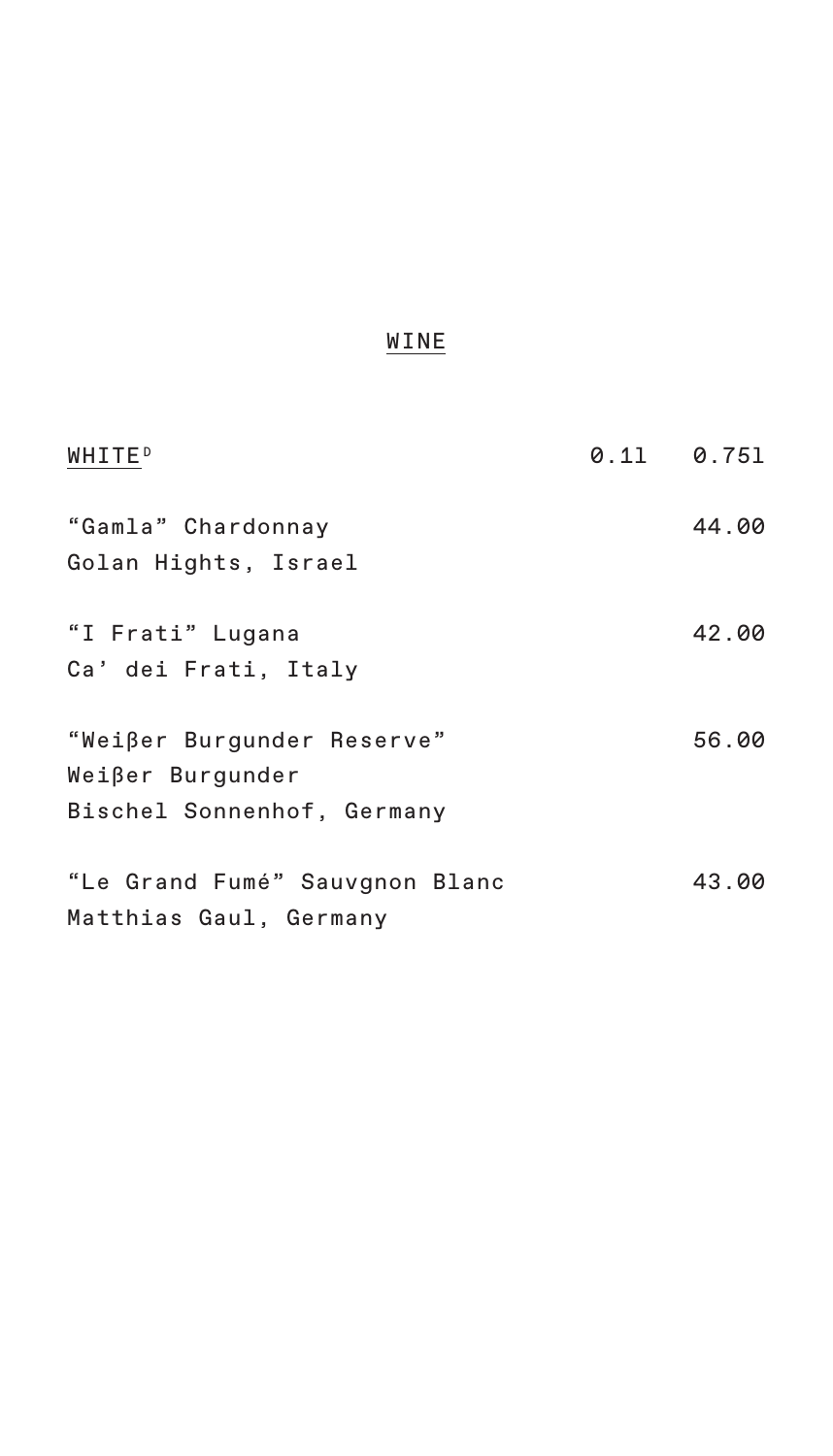| <b>WHITEP</b>                                            | $0.11$ $0.751$ |
|----------------------------------------------------------|----------------|
| "Gamla" Chardonnay<br>Golan Hights, Israel               | 44.00          |
|                                                          |                |
| "I Frati" Lugana<br>Ca' dei Frati, Italy                 | 42.00          |
|                                                          |                |
| "Weißer Burgunder Reserve"<br>Weißer Burgunder           | 56.00          |
| Bischel Sonnenhof, Germany                               |                |
| "Le Grand Fumé" Sauvgnon Blanc<br>Matthias Gaul, Germany | 43.00          |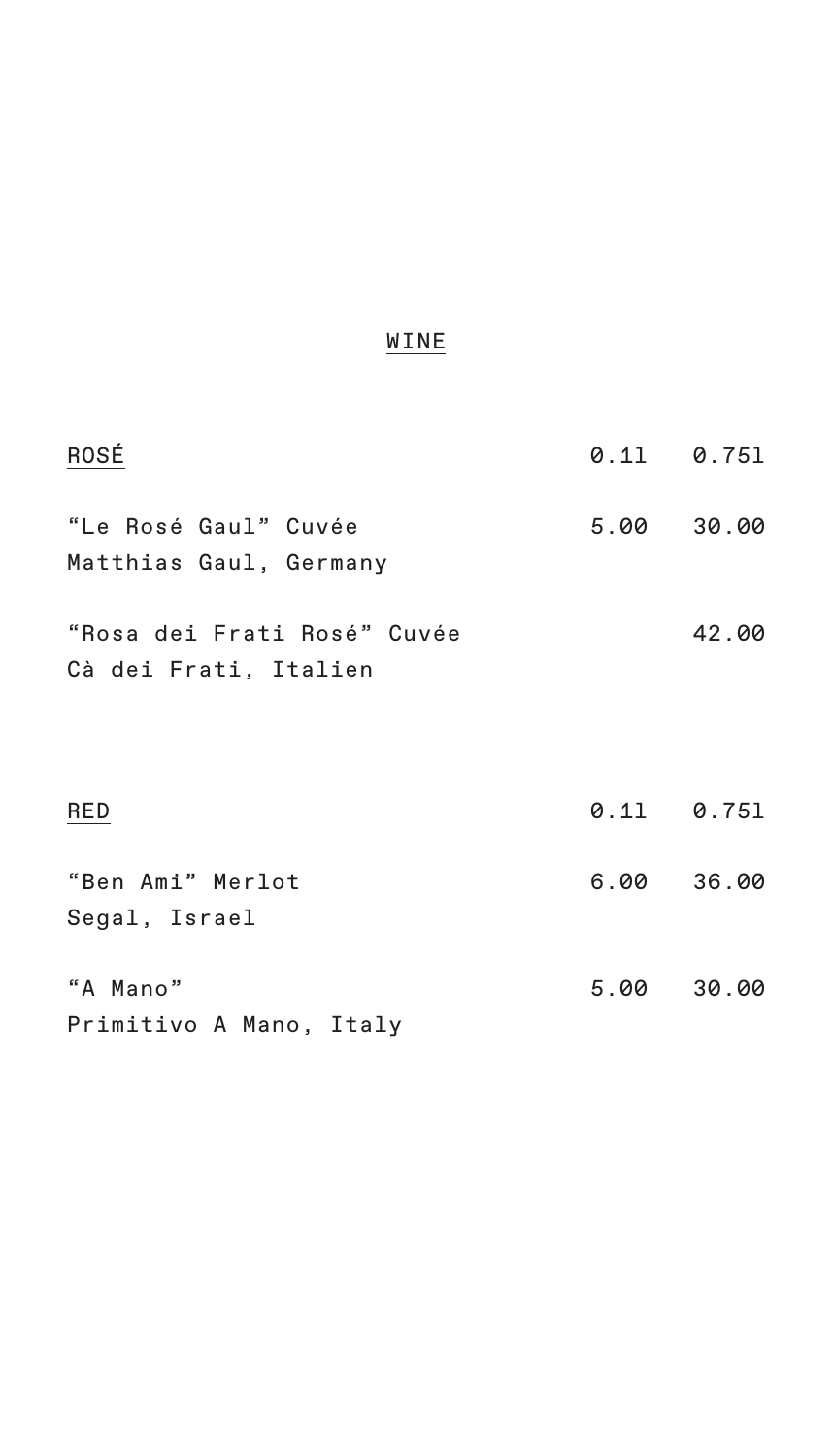| ROSÉ                                                 | $0.11$ $0.751$ |       |
|------------------------------------------------------|----------------|-------|
| "Le Rosé Gaul" Cuvée<br>Matthias Gaul, Germany       | 5.00 30.00     |       |
| "Rosa dei Frati Rosé" Cuvée<br>Cà dei Frati, Italien |                | 42.00 |
| RED                                                  | $0.11$ $0.751$ |       |
| "Ben Ami" Merlot<br>Segal, Israel                    | 6.00           | 36.00 |
| "A Mano"<br>Primitivo A Mano, Italy                  | 5.00           | 30.00 |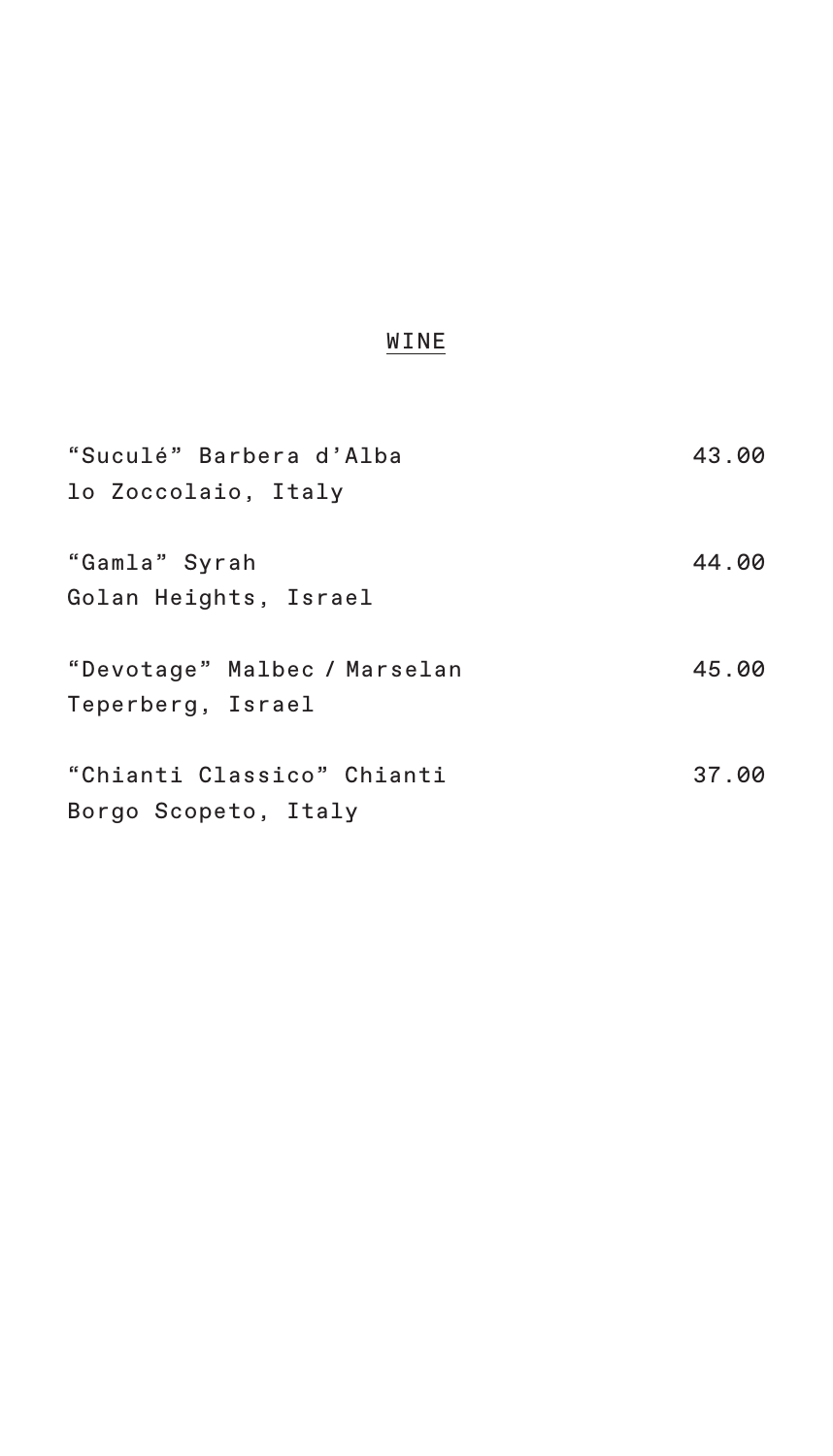| "Suculé" Barbera d'Alba<br>lo Zoccolaio, Italy     | 43.00 |
|----------------------------------------------------|-------|
| "Gamla" Syrah<br>Golan Heights, Israel             | 44.00 |
| "Devotage" Malbec / Marselan<br>Teperberg, Israel  | 45.00 |
| "Chianti Classico" Chianti<br>Borgo Scopeto, Italy | 37.00 |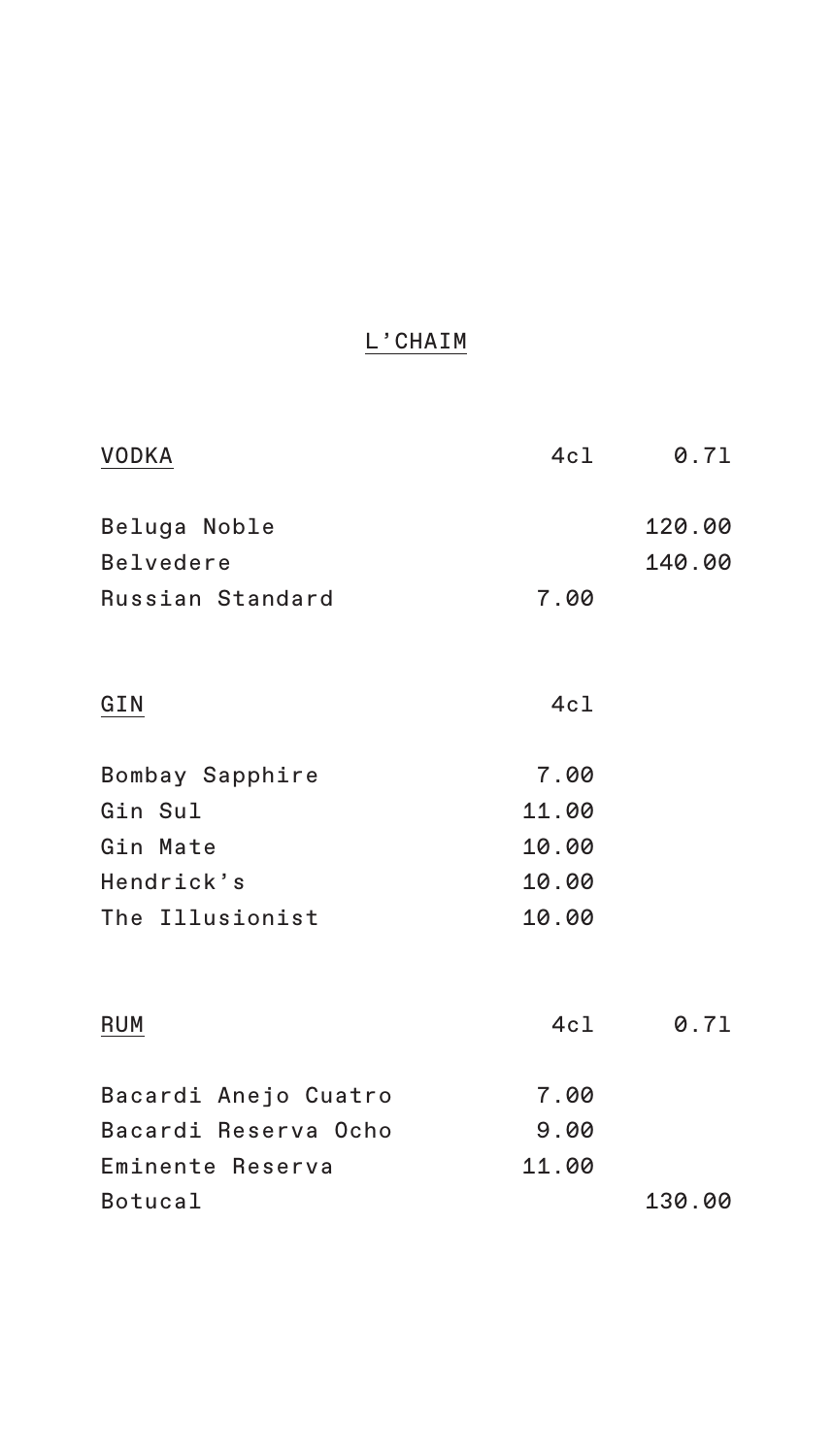### L'CHAIM

| <b>VODKA</b>         | 4c1   | 0.71   |
|----------------------|-------|--------|
| Beluga Noble         |       | 120.00 |
| <b>Belvedere</b>     |       | 140.00 |
| Russian Standard     | 7.00  |        |
| GIN                  | 4c1   |        |
| Bombay Sapphire      | 7.00  |        |
| Gin Sul              | 11.00 |        |
| Gin Mate             | 10.00 |        |
| Hendrick's           | 10.00 |        |
| The Illusionist      | 10.00 |        |
| RUM                  | 4c1   | 0.71   |
| Bacardi Anejo Cuatro | 7.00  |        |
| Bacardi Reserva Ocho | 9.00  |        |
| Eminente Reserva     | 11.00 |        |
| Botucal              |       | 130.00 |
|                      |       |        |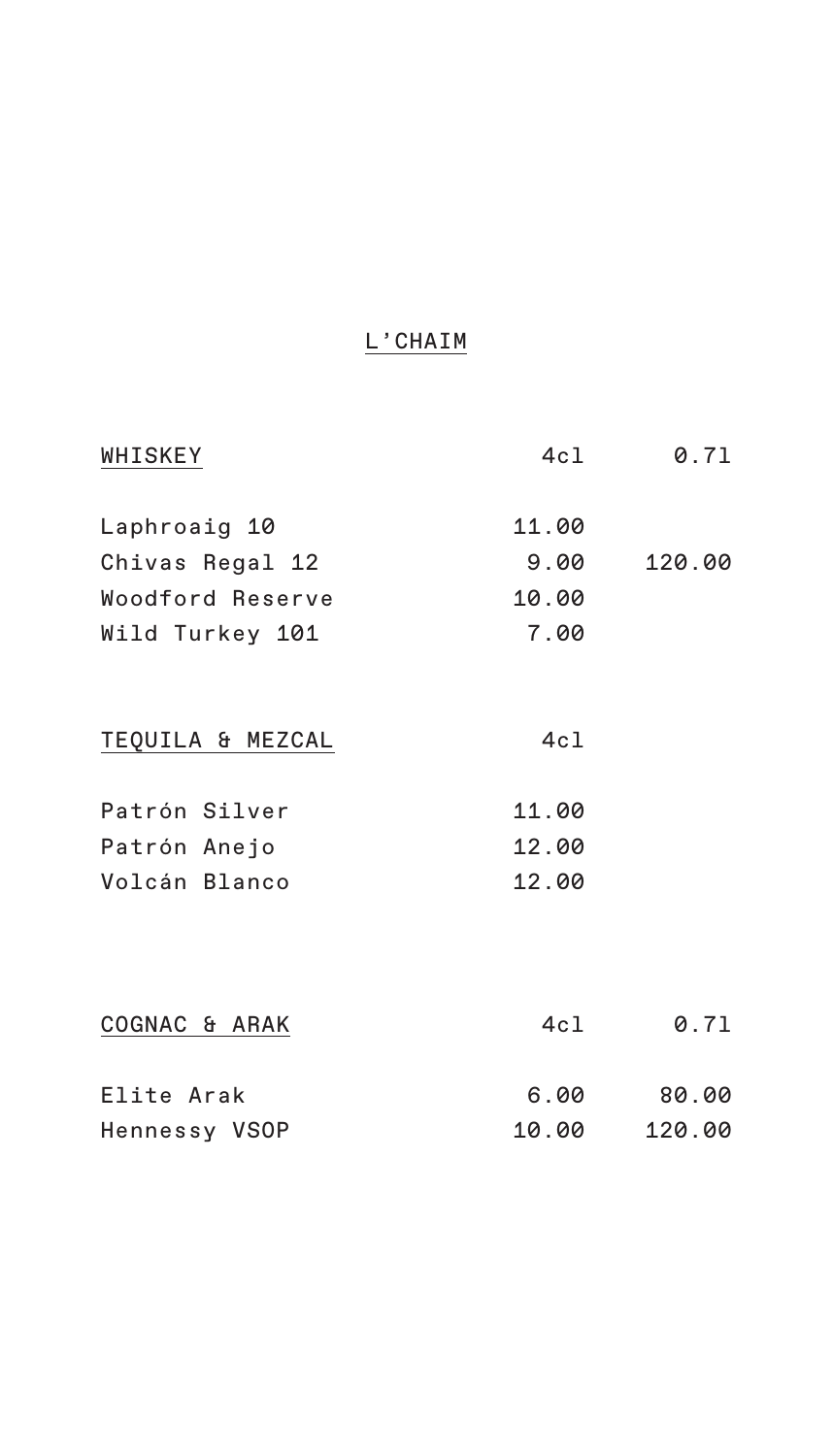### L'CHAIM

| WHISKEY          | 4cl   | 0.71   |
|------------------|-------|--------|
| Laphroaig 10     | 11.00 |        |
| Chivas Regal 12  | 9.00  | 120.00 |
| Woodford Reserve | 10.00 |        |
| Wild Turkey 101  | 7.00  |        |
| TEQUILA & MEZCAL | 4c1   |        |
| Patrón Silver    | 11.00 |        |
| Patrón Anejo     | 12.00 |        |
| Volcán Blanco    | 12.00 |        |
|                  |       |        |
| COGNAC & ARAK    | 4cl   | 0.71   |
| Elite Arak       | 6.00  | 80.00  |
| Hennessy VSOP    | 10.00 | 120.00 |
|                  |       |        |